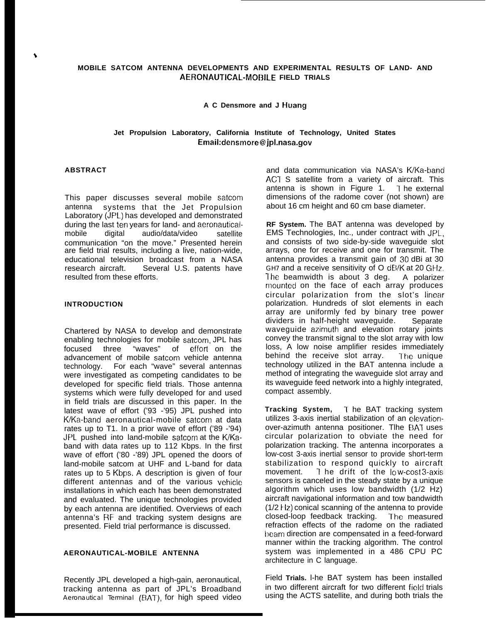# **MOBILE SATCOM ANTENNA DEVELOPMENTS AND EXPERIMENTAL RESULTS OF LAND- AND AERONAUTICAL-MOBILE FIELD TRIALS**

**A C Densmore and J Huang**

# **Jet Propulsion Laboratory, California Institute of Technology, United States Email:densmore@ jpl.nasa.gov**

## **ABSTRACT**

 $\blacktriangle$ 

This paper discusses several mobile satcom antenna systems that the Jet Propulsion Laboratory (JPL) has developed and demonstrated during the last ten years for land- and aeronauticalmobile digital audio/data/video satellite communication "on the move." Presented herein are field trial results, including a live, nation-wide, educational television broadcast from a NASA<br>research aircraft. Several U.S. patents have Several U.S. patents have resulted from these efforts.

## **INTRODUCTION**

Chartered by NASA to develop and demonstrate enabling technologies for mobile satcom, JPL has focused three "waves" of effort on the advancement of mobile satcom vehicle antenna technology. For each "wave" several antennas were investigated as competing candidates to be developed for specific field trials. Those antenna systems which were fully developed for and used in field trials are discussed in this paper. In the latest wave of effort ('93 -'95) JPL pushed into K/Ka-band aeronautical-mobile satcom at data rates up to T1. In a prior wave of effort ('89 -'94) JPL pushed into land-mobile satcom at the K/Kaband with data rates up to 112 Kbps. In the first wave of effort ('80 -'89) JPL opened the doors of land-mobile satcom at UHF and L-band for data rates up to 5 Kbps. A description is given of four different antennas and of the various vehicle installations in which each has been demonstrated and evaluated. The unique technologies provided by each antenna are identified. Overviews of each antenna's RF and tracking system designs are presented. Field trial performance is discussed.

## **AERONAUTICAL-MOBILE ANTENNA**

Recently JPL developed a high-gain, aeronautical, tracking antenna as part of JPL's Broadband *Aeronautical Terminal* (E3AT), for high speed video

and data communication via NASA's K/Ka-band AC7 S satellite from a variety of aircraft. This antenna is shown in Figure 1.  $\bar{1}$  he external dimensions of the radome cover (not shown) are about 16 cm height and 60 cm base diameter.

**RF System.** The BAT antenna was developed by EMS Technologies, Inc., under contract with JPL, and consists of two side-by-side waveguide slot arrays, one for receive and one for transmit. The antenna provides a transmit gain of 30 dBi at 30 GH7 and a receive sensitivity of O dEVK at 20 GHz, The beamwidth is about 3 deg. A polarizer mounted on the face of each array produces circular polarization from the slot's linear polarization. Hundreds of slot elements in each array are uniformly fed by binary tree power dividers in half-height waveguide. Separate waveguide azimuth and elevation rotary joints convey the transmit signal to the slot array with low loss, A low noise amplifier resides immediately behind the receive slot array. The unique technology utilized in the BAT antenna include a method of integrating the waveguide slot array and its waveguide feed network into a highly integrated, compact assembly.

**Tracking System, 1** he BAT tracking system utilizes 3-axis inertial stabilization of an elevationover-azimuth antenna positioner. Tlhe BAT uses circular polarization to obviate the need for polarization tracking. The antenna incorporates a low-cost 3-axis inertial sensor to provide short-term stabilization to respond quickly to aircraft movement. I he drift of the low-cost 3-axis sensors is canceled in the steady state by a unique algorithm which uses low bandwidth (1/2 Hz) aircraft navigational information and tow bandwidth  $(1/2$   $Hz)$  conical scanning of the antenna to provide closed-loop feedback tracking. The measured refraction effects of the radome on the radiated beam direction are compensated in a feed-forward manner within the tracking algorithm. The control system was implemented in a 486 CPU PC architecture in C language.

Field **Trials.** l-he BAT system has been installed in two different aircraft for two different fielcl trials using the ACTS satellite, and during both trials the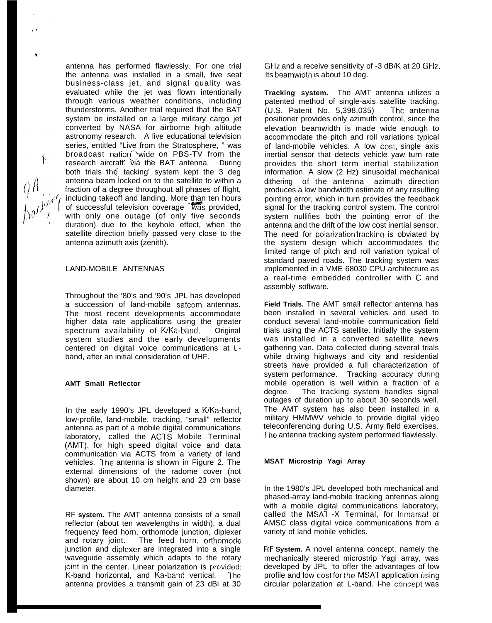antenna has performed flawlessly. For one trial the antenna was installed in a small, five seat business-class jet, and signal quality was evaluated while the jet was flown intentionally through various weather conditions, including thunderstorms. Another trial required that the BAT system be installed on a large military cargo jet converted by NASA for airborne high altitude astronomy research. A live educational television series, entitled "Live from the Stratosphere, " was broadcast nation<sup>1</sup>wide on PBS-TV from the research aircraft, via the BAT antenna. During both trials th $é$  tacking' system kept the 3 deg antenna beam locked on to the satellite to within a fraction of a degree throughout all phases of flight, including takeoff and landing. More than ten hours of successful television coverage was provided, with only one outage (of only five seconds duration) due to the keyhole effect, when the satellite direction briefly passed very close to the antenna azimuth axis (zenith).

## LAND-MOBILE ANTENNAS

Throughout the '80's and '90's JPL has developed a succession of land-mobile satcom antennas. The most recent developments accommodate higher data rate applications using the greater spectrum availability of K/Ka-band. Original system studies and the early developments centered on digital voice communications at Lband, after an initial consideration of UHF.

#### **AMT Small Reflector**

In the early 1990's JPL developed a K/Ka-band, low-profile, land-mobile, tracking, "small" reflector antenna as part of a mobile digital communications laboratory, called the ACTS Mobile Terminal (AMT), for high speed digital voice and data communication via ACTS from a variety of land vehicles. The antenna is shown in Figure 2. The external dimensions of the radome cover (not shown) are about 10 cm height and 23 cm base diameter.

RF **system.** The AMT antenna consists of a small reflector (about ten wavelengths in width), a dual frequency feed horn, orthomode junction, diplexer and rotary joint. The feed horn, orthomode junction and diplexer are integrated into a single waveguide assembly which adapts to the rotary joint in the center. Linear polarization is provided: K-band horizontal, and Ka-band vertical. The antenna provides a transmit gain of 23 dBi at 30

GHz and a receive sensitivity of -3 dB/K at 20 GHz. Its beamwidth is about 10 deg.

**Tracking system.** The AMT antenna utilizes a patented method of single-axis satellite tracking.  $(U.S.$  Patent No.  $5,398,035$ ) The antenna positioner provides only azimuth control, since the elevation beamwidth is made wide enough to accommodate the pitch and roll variations typical of land-mobile vehicles. A low cost, single axis inertial sensor that detects vehicle yaw turn rate provides the short term inertial stabilization information. A slow (2 Hz) sinusoidal mechanical dithering of the antenna azimuth direction produces a low bandwidth estimate of any resulting pointing error, which in turn provides the feedback signal for the tracking control system. The control system nullifies both the pointing error of the antenna and the drift of the low cost inertial sensor. The need for polarization tracking is obviated by the system design which accommodates the limited range of pitch and roll variation typical of standard paved roads. The tracking system was implemented in a VME 68030 CPU architecture as a real-time embedded controller with C and assembly software.

**Field Trials.** The AMT small reflector antenna has been installed in several vehicles and used to conduct several land-mobile communication field trials using the ACTS satellite. Initially the system was installed in a converted satellite news gathering van. Data collected during several trials while driving highways and city and residential streets have provided a full characterization of system performance. Tracking accuracy during mobile operation is well within a fraction of a degree. The tracking system handles signal outages of duration up to about 30 seconds well. The AMT system has also been installed in a military HMMWV vehicle to provide digital video teleconferencing during U.S. Army field exercises. The antenna tracking system performed flawlessly.

### **MSAT Microstrip Yagi Array**

In the 1980's JPL developed both mechanical and phased-array land-mobile tracking antennas along with a mobile digital communications laboratory, called the MSAI -X Terminal, for Inmarsat or AMSC class digital voice communications from a variety of land mobile vehicles.

**RF System.** A novel antenna concept, namely the mechanically steered microstrip Yagi array, was developed by JPL "to offer the advantages of low profile and low cost for the MSAT application using circular polarization at L-band. I-he concept was

 $Q\hat{A}$ 

 $\cdot$   $\cdot$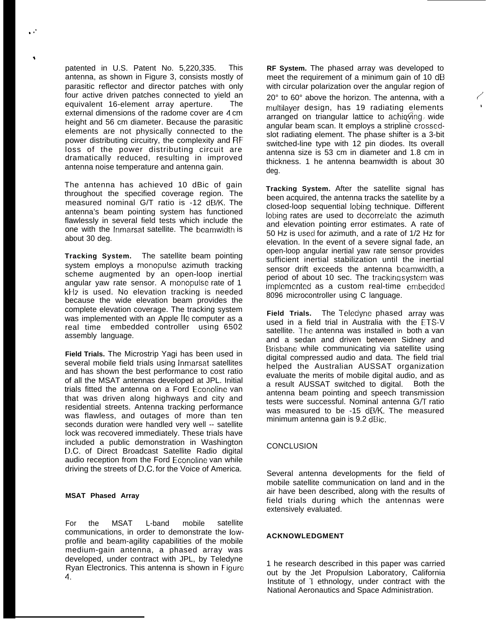patented in U.S. Patent No. 5,220,335. This antenna, as shown in Figure 3, consists mostly of parasitic reflector and director patches with only four active driven patches connected to yield an equivalent 16-element array aperture. The external dimensions of the radome cover are 4 cm height and 56 cm diameter. Because the parasitic elements are not physically connected to the power distributing circuitry, the complexity and RF' loss of the power distributing circuit are dramatically reduced, resulting in improved antenna noise temperature and antenna gain.

\*

The antenna has achieved 10 dBic of gain throughout the specified coverage region. The measured nominal G/T ratio is -12 dB/K. The antenna's beam pointing system has functioned flawlessly in several field tests which include the one with the Inmarsat satellite. The beamwidth is about 30 deg.

**Tracking System.** The satellite beam pointing system employs a monopulse azimuth tracking scheme augmented by an open-loop inertial angular yaw rate sensor. A monopulse rate of 1 kt+z is used. No elevation tracking is needed because the wide elevation beam provides the complete elevation coverage. The tracking system was implemented with an Apple Ile computer as a real time embedded controller using 6502 assembly language.

**Field Trials.** The Microstrip Yagi has been used in several mobile field trials using Inmarsat satellites and has shown the best performance to cost ratio of all the MSAT antennas developed at JPL. Initial trials fitted the antenna on a Ford Econoline van that was driven along highways and city and residential streets. Antenna tracking performance was flawless, and outages of more than ten seconds duration were handled very well -- satellite lock was recovered immediately. These trials have included a public demonstration in Washington D.C. of Direct Broadcast Satellite Radio digital audio reception from the Ford Econoline van while driving the streets of D.C. for the Voice of America.

## **MSAT Phased Array**

For the MSAT L-band mobile satellite communications, in order to demonstrate the lowprofile and beam-agility capabilities of the mobile medium-gain antenna, a phased array was developed, under contract with JPL, by Teledyne Ryan Electronics. This antenna is shown in Figure 4.

**RF System.** The phased array was developed to meet the requirement of a minimum gain of 10 dB with circular polarization over the angular region of  $20^{\circ}$  to  $60^{\circ}$  above the horizon. The antenna, with a multilayer design, has 19 radiating elements arranged on triangular lattice to achieving wide angular beam scan. It employs a stripline crossedslot radiating element. The phase shifter is a 3-bit switched-line type with 12 pin diodes. Its overall antenna size is 53 cm in diameter and 1.8 cm in thickness. 1 he antenna beamwidth is about 30 deg.

**Tracking System.** After the satellite signal has been acquired, the antenna tracks the satellite by a closed-loop sequential Iobing technique. Different Iobing rates are used to decorrelate the azimuth and elevation pointing error estimates. A rate of 50 Hz is useci for azimuth, and a rate of 1/2 Hz for elevation. In the event of a severe signal fade, an open-loop angular inertial yaw rate sensor provides sufficient inertial stabilization until the inertial sensor drift exceeds the antenna beamwidth, a period of about 10 sec. The trackinq svstem was implemented as a custom real-time embedded 8096 microcontroller using C language.

Field Trials. The Teledyne phased array was used in a field trial in Australia with the ETS-V satellite. The antenna was installed in both a van and a sedan and driven between Sidney and Brisbane while communicating via satellite using digital compressed audio and data. The field trial helped the Australian AUSSAT organization evaluate the merits of mobile digital audio, and as a result AUSSAT switched to digital. Both the antenna beam pointing and speech transmission tests were successful. Nominal antenna G/T ratio was measured to be -15  $dB/K$ . The measured minimum antenna gain is 9.2 dBic.

#### **CONCLUSION**

Several antenna developments for the field of mobile satellite communication on land and in the air have been described, along with the results of field trials during which the antennas were extensively evaluated.

### **ACKNOWLEDGMENT**

1 he research described in this paper was carried out by the Jet Propulsion Laboratory, California Institute of T ethnology, under contract with the National Aeronautics and Space Administration.